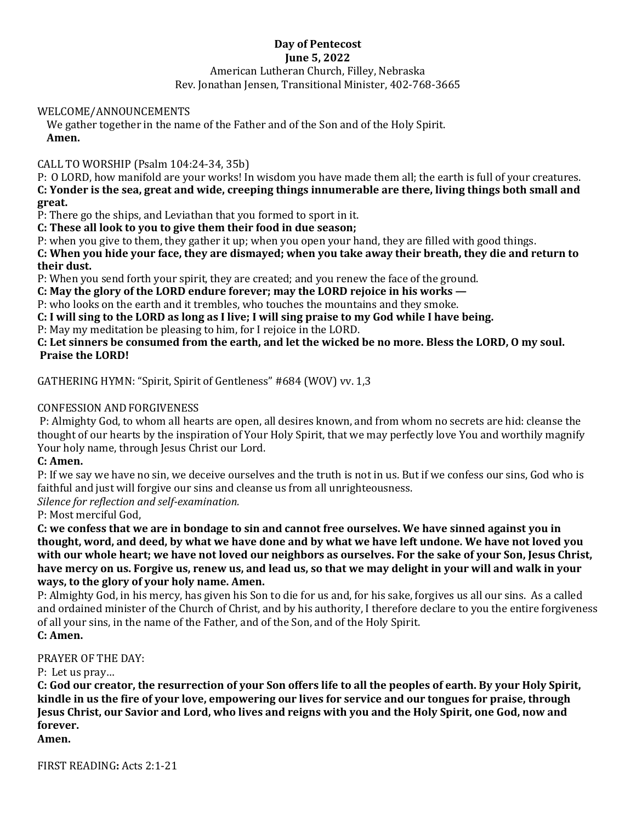## **Day of Pentecost June 5, 2022** American Lutheran Church, Filley, Nebraska Rev. Jonathan Jensen, Transitional Minister, 402-768-3665

#### WELCOME/ANNOUNCEMENTS

We gather together in the name of the Father and of the Son and of the Holy Spirit. **Amen.**

## CALL TO WORSHIP (Psalm 104:24-34, 35b)

P: O LORD, how manifold are your works! In wisdom you have made them all; the earth is full of your creatures. **C: Yonder is the sea, great and wide, creeping things innumerable are there, living things both small and great.**

P: There go the ships, and Leviathan that you formed to sport in it.

**C: These all look to you to give them their food in due season;**

P: when you give to them, they gather it up; when you open your hand, they are filled with good things.

**C: When you hide your face, they are dismayed; when you take away their breath, they die and return to their dust.**

P: When you send forth your spirit, they are created; and you renew the face of the ground.

**C: May the glory of the LORD endure forever; may the LORD rejoice in his works —**

P: who looks on the earth and it trembles, who touches the mountains and they smoke.

**C: I will sing to the LORD as long as I live; I will sing praise to my God while I have being.**

P: May my meditation be pleasing to him, for I rejoice in the LORD.

**C: Let sinners be consumed from the earth, and let the wicked be no more. Bless the LORD, O my soul. Praise the LORD!**

GATHERING HYMN: "Spirit, Spirit of Gentleness" #684 (WOV) vv. 1,3

## CONFESSION AND FORGIVENESS

P: Almighty God, to whom all hearts are open, all desires known, and from whom no secrets are hid: cleanse the thought of our hearts by the inspiration of Your Holy Spirit, that we may perfectly love You and worthily magnify Your holy name, through Jesus Christ our Lord.

## **C: Amen.**

P: If we say we have no sin, we deceive ourselves and the truth is not in us. But if we confess our sins, God who is faithful and just will forgive our sins and cleanse us from all unrighteousness.

*Silence for reflection and self-examination.*

P: Most merciful God,

**C: we confess that we are in bondage to sin and cannot free ourselves. We have sinned against you in thought, word, and deed, by what we have done and by what we have left undone. We have not loved you with our whole heart; we have not loved our neighbors as ourselves. For the sake of your Son, Jesus Christ, have mercy on us. Forgive us, renew us, and lead us, so that we may delight in your will and walk in your ways, to the glory of your holy name. Amen.** 

P: Almighty God, in his mercy, has given his Son to die for us and, for his sake, forgives us all our sins. As a called and ordained minister of the Church of Christ, and by his authority, I therefore declare to you the entire forgiveness of all your sins, in the name of the Father, and of the Son, and of the Holy Spirit. **C: Amen.**

#### PRAYER OF THE DAY:

P: Let us pray…

**C: God our creator, the resurrection of your Son offers life to all the peoples of earth. By your Holy Spirit, kindle in us the fire of your love, empowering our lives for service and our tongues for praise, through Jesus Christ, our Savior and Lord, who lives and reigns with you and the Holy Spirit, one God, now and forever.**

**Amen.**

FIRST READING**:** Acts 2:1-21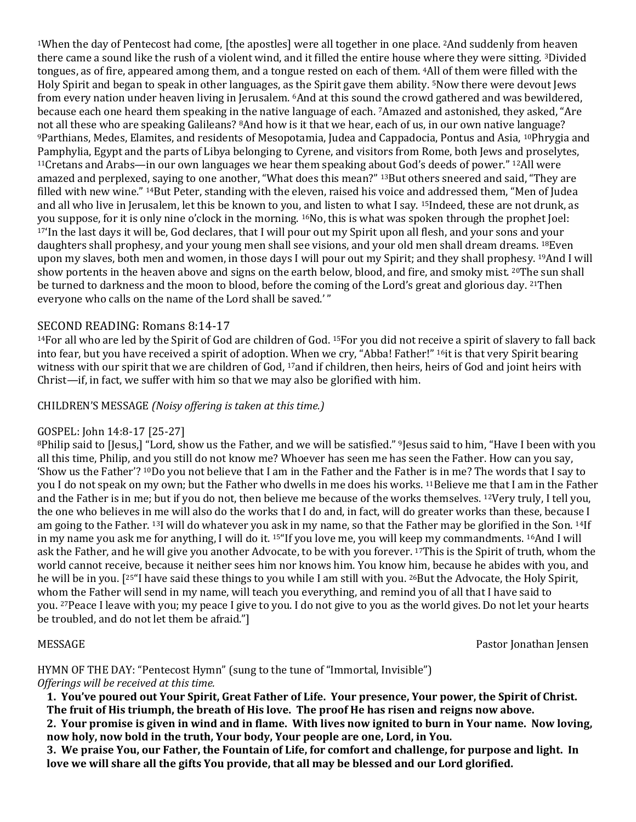<sup>1</sup>When the day of Pentecost had come, [the apostles] were all together in one place. <sup>2</sup>And suddenly from heaven there came a sound like the rush of a violent wind, and it filled the entire house where they were sitting. <sup>3</sup>Divided tongues, as of fire, appeared among them, and a tongue rested on each of them. <sup>4</sup>All of them were filled with the Holy Spirit and began to speak in other languages, as the Spirit gave them ability. <sup>5</sup>Now there were devout Jews from every nation under heaven living in Jerusalem. <sup>6</sup>And at this sound the crowd gathered and was bewildered, because each one heard them speaking in the native language of each. <sup>7</sup>Amazed and astonished, they asked, "Are not all these who are speaking Galileans? <sup>8</sup>And how is it that we hear, each of us, in our own native language? <sup>9</sup>Parthians, Medes, Elamites, and residents of Mesopotamia, Judea and Cappadocia, Pontus and Asia, <sup>10</sup>Phrygia and Pamphylia, Egypt and the parts of Libya belonging to Cyrene, and visitors from Rome, both Jews and proselytes, <sup>11</sup>Cretans and Arabs—in our own languages we hear them speaking about God's deeds of power." <sup>12</sup>All were amazed and perplexed, saying to one another, "What does this mean?" <sup>13</sup>But others sneered and said, "They are filled with new wine." <sup>14</sup>But Peter, standing with the eleven, raised his voice and addressed them, "Men of Judea and all who live in Jerusalem, let this be known to you, and listen to what I say. <sup>15</sup>Indeed, these are not drunk, as you suppose, for it is only nine o'clock in the morning. <sup>16</sup>No, this is what was spoken through the prophet Joel: <sup>17</sup>'In the last days it will be, God declares, that I will pour out my Spirit upon all flesh, and your sons and your daughters shall prophesy, and your young men shall see visions, and your old men shall dream dreams. <sup>18</sup>Even upon my slaves, both men and women, in those days I will pour out my Spirit; and they shall prophesy. <sup>19</sup>And I will show portents in the heaven above and signs on the earth below, blood, and fire, and smoky mist. <sup>20</sup>The sun shall be turned to darkness and the moon to blood, before the coming of the Lord's great and glorious day. <sup>21</sup>Then everyone who calls on the name of the Lord shall be saved.'"

## SECOND READING: Romans 8:14-17

<sup>14</sup>For all who are led by the Spirit of God are children of God. <sup>15</sup>For you did not receive a spirit of slavery to fall back into fear, but you have received a spirit of adoption. When we cry, "Abba! Father!" <sup>16</sup>it is that very Spirit bearing witness with our spirit that we are children of God, 17and if children, then heirs, heirs of God and joint heirs with Christ—if, in fact, we suffer with him so that we may also be glorified with him.

## CHILDREN'S MESSAGE *(Noisy offering is taken at this time.)*

## GOSPEL: John 14:8-17 [25-27]

<sup>8</sup>Philip said to [Jesus,] "Lord, show us the Father, and we will be satisfied." <sup>9</sup>Jesus said to him, "Have I been with you all this time, Philip, and you still do not know me? Whoever has seen me has seen the Father. How can you say, 'Show us the Father'? <sup>10</sup>Do you not believe that I am in the Father and the Father is in me? The words that I say to you I do not speak on my own; but the Father who dwells in me does his works. <sup>11</sup>Believe me that I am in the Father and the Father is in me; but if you do not, then believe me because of the works themselves. <sup>12</sup>Very truly, I tell you, the one who believes in me will also do the works that I do and, in fact, will do greater works than these, because I am going to the Father. <sup>13</sup>I will do whatever you ask in my name, so that the Father may be glorified in the Son. <sup>14</sup>If in my name you ask me for anything, I will do it. <sup>15</sup>"If you love me, you will keep my commandments. <sup>16</sup>And I will ask the Father, and he will give you another Advocate, to be with you forever. <sup>17</sup>This is the Spirit of truth, whom the world cannot receive, because it neither sees him nor knows him. You know him, because he abides with you, and he will be in you. [25"] have said these things to you while I am still with you. 26But the Advocate, the Holy Spirit, whom the Father will send in my name, will teach you everything, and remind you of all that I have said to you. <sup>27</sup>Peace I leave with you; my peace I give to you. I do not give to you as the world gives. Do not let your hearts be troubled, and do not let them be afraid."]

MESSAGE Pastor Jonathan Jensen

HYMN OF THE DAY: "Pentecost Hymn" (sung to the tune of "Immortal, Invisible") *Offerings will be received at this time.*

**1. You've poured out Your Spirit, Great Father of Life. Your presence, Your power, the Spirit of Christ. The fruit of His triumph, the breath of His love. The proof He has risen and reigns now above.**

**2. Your promise is given in wind and in flame. With lives now ignited to burn in Your name. Now loving, now holy, now bold in the truth, Your body, Your people are one, Lord, in You.**

**3. We praise You, our Father, the Fountain of Life, for comfort and challenge, for purpose and light. In love we will share all the gifts You provide, that all may be blessed and our Lord glorified.**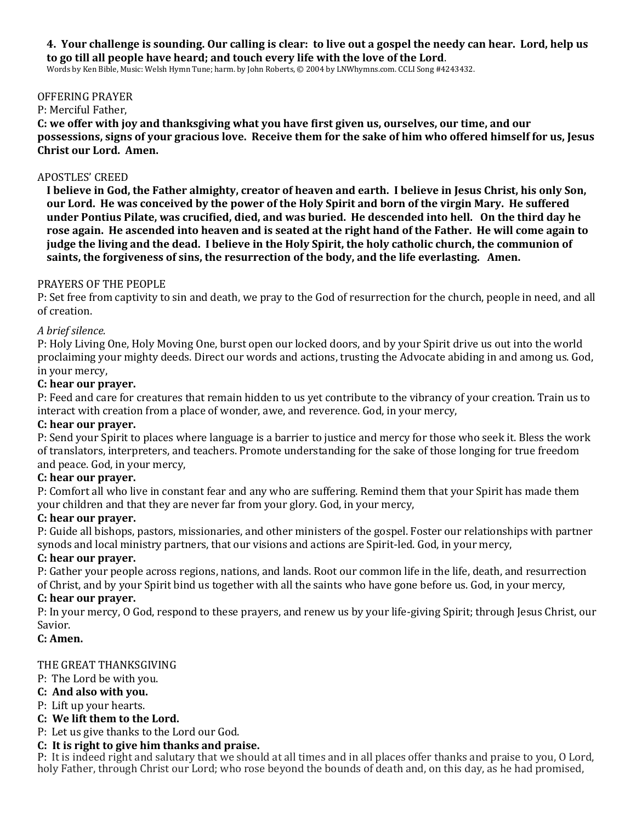#### **4. Your challenge is sounding. Our calling is clear: to live out a gospel the needy can hear. Lord, help us to go till all people have heard; and touch every life with the love of the Lord**.

Words by Ken Bible, Music: Welsh Hymn Tune; harm. by John Roberts, © 2004 by LNWhymns.com. CCLI Song #4243432.

#### OFFERING PRAYER

#### P: Merciful Father,

**C: we offer with joy and thanksgiving what you have first given us, ourselves, our time, and our possessions, signs of your gracious love. Receive them for the sake of him who offered himself for us, Jesus Christ our Lord. Amen.**

#### APOSTLES' CREED

**I believe in God, the Father almighty, creator of heaven and earth. I believe in Jesus Christ, his only Son, our Lord. He was conceived by the power of the Holy Spirit and born of the virgin Mary. He suffered under Pontius Pilate, was crucified, died, and was buried. He descended into hell. On the third day he rose again. He ascended into heaven and is seated at the right hand of the Father. He will come again to judge the living and the dead. I believe in the Holy Spirit, the holy catholic church, the communion of saints, the forgiveness of sins, the resurrection of the body, and the life everlasting. Amen.**

#### PRAYERS OF THE PEOPLE

P: Set free from captivity to sin and death, we pray to the God of resurrection for the church, people in need, and all of creation.

#### *A brief silence.*

P: Holy Living One, Holy Moving One, burst open our locked doors, and by your Spirit drive us out into the world proclaiming your mighty deeds. Direct our words and actions, trusting the Advocate abiding in and among us. God, in your mercy,

#### **C: hear our prayer.**

P: Feed and care for creatures that remain hidden to us yet contribute to the vibrancy of your creation. Train us to interact with creation from a place of wonder, awe, and reverence. God, in your mercy,

#### **C: hear our prayer.**

P: Send your Spirit to places where language is a barrier to justice and mercy for those who seek it. Bless the work of translators, interpreters, and teachers. Promote understanding for the sake of those longing for true freedom and peace. God, in your mercy,

#### **C: hear our prayer.**

P: Comfort all who live in constant fear and any who are suffering. Remind them that your Spirit has made them your children and that they are never far from your glory. God, in your mercy,

#### **C: hear our prayer.**

P: Guide all bishops, pastors, missionaries, and other ministers of the gospel. Foster our relationships with partner synods and local ministry partners, that our visions and actions are Spirit-led. God, in your mercy,

#### **C: hear our prayer.**

P: Gather your people across regions, nations, and lands. Root our common life in the life, death, and resurrection of Christ, and by your Spirit bind us together with all the saints who have gone before us. God, in your mercy,

#### **C: hear our prayer.**

P: In your mercy, O God, respond to these prayers, and renew us by your life-giving Spirit; through Jesus Christ, our Savior.

#### **C: Amen.**

#### THE GREAT THANKSGIVING

- P: The Lord be with you.
- **C: And also with you.**
- P: Lift up your hearts.

#### **C: We lift them to the Lord.**

P: Let us give thanks to the Lord our God.

#### **C: It is right to give him thanks and praise.**

P: It is indeed right and salutary that we should at all times and in all places offer thanks and praise to you, O Lord, holy Father, through Christ our Lord; who rose beyond the bounds of death and, on this day, as he had promised,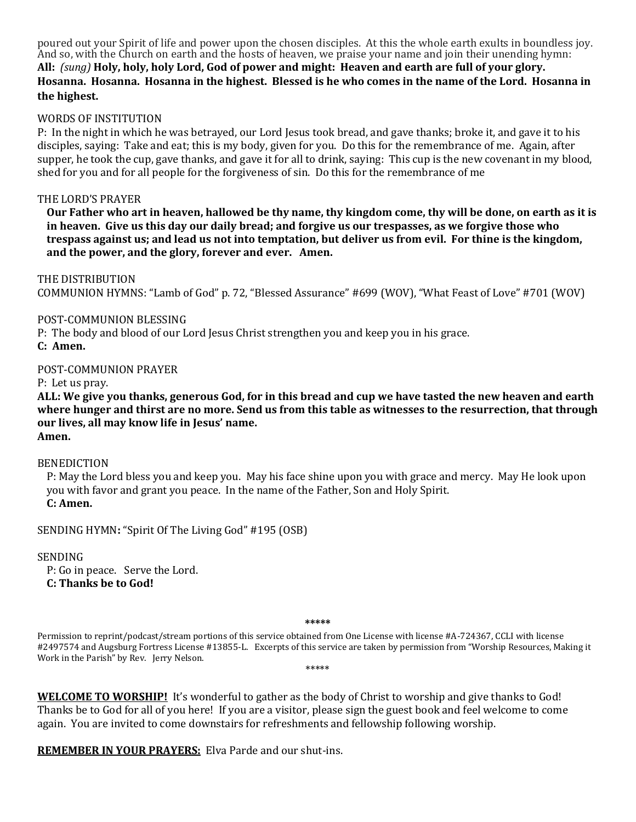poured out your Spirit of life and power upon the chosen disciples. At this the whole earth exults in boundless joy. And so, with the Church on earth and the hosts of heaven, we praise your name and join their unending hymn: **All:** *(sung)* **Holy, holy, holy Lord, God of power and might: Heaven and earth are full of your glory. Hosanna. Hosanna. Hosanna in the highest. Blessed is he who comes in the name of the Lord. Hosanna in the highest.**

## WORDS OF INSTITUTION

P: In the night in which he was betrayed, our Lord Jesus took bread, and gave thanks; broke it, and gave it to his disciples, saying: Take and eat; this is my body, given for you. Do this for the remembrance of me. Again, after supper, he took the cup, gave thanks, and gave it for all to drink, saying: This cup is the new covenant in my blood, shed for you and for all people for the forgiveness of sin. Do this for the remembrance of me

#### THE LORD'S PRAYER

**Our Father who art in heaven, hallowed be thy name, thy kingdom come, thy will be done, on earth as it is in heaven. Give us this day our daily bread; and forgive us our trespasses, as we forgive those who trespass against us; and lead us not into temptation, but deliver us from evil. For thine is the kingdom, and the power, and the glory, forever and ever. Amen.**

THE DISTRIBUTION COMMUNION HYMNS: "Lamb of God" p. 72, "Blessed Assurance" #699 (WOV), "What Feast of Love" #701 (WOV)

#### POST-COMMUNION BLESSING

P: The body and blood of our Lord Jesus Christ strengthen you and keep you in his grace. **C: Amen.**

#### POST-COMMUNION PRAYER

P: Let us pray.

**ALL: We give you thanks, generous God, for in this bread and cup we have tasted the new heaven and earth where hunger and thirst are no more. Send us from this table as witnesses to the resurrection, that through our lives, all may know life in Jesus' name.**

**Amen.**

#### BENEDICTION

P: May the Lord bless you and keep you. May his face shine upon you with grace and mercy. May He look upon you with favor and grant you peace. In the name of the Father, Son and Holy Spirit. **C: Amen.**

SENDING HYMN**:** "Spirit Of The Living God" #195 (OSB)

#### **SENDING**

P: Go in peace. Serve the Lord. **C: Thanks be to God!**

#### **\*\*\*\*\***

Permission to reprint/podcast/stream portions of this service obtained from One License with license #A-724367, CCLI with license #2497574 and Augsburg Fortress License #13855-L. Excerpts of this service are taken by permission from "Worship Resources, Making it Work in the Parish" by Rev. Jerry Nelson. \*\*\*\*\*

**WELCOME TO WORSHIP!** It's wonderful to gather as the body of Christ to worship and give thanks to God! Thanks be to God for all of you here! If you are a visitor, please sign the guest book and feel welcome to come again. You are invited to come downstairs for refreshments and fellowship following worship.

**REMEMBER IN YOUR PRAYERS:** Elva Parde and our shut-ins.